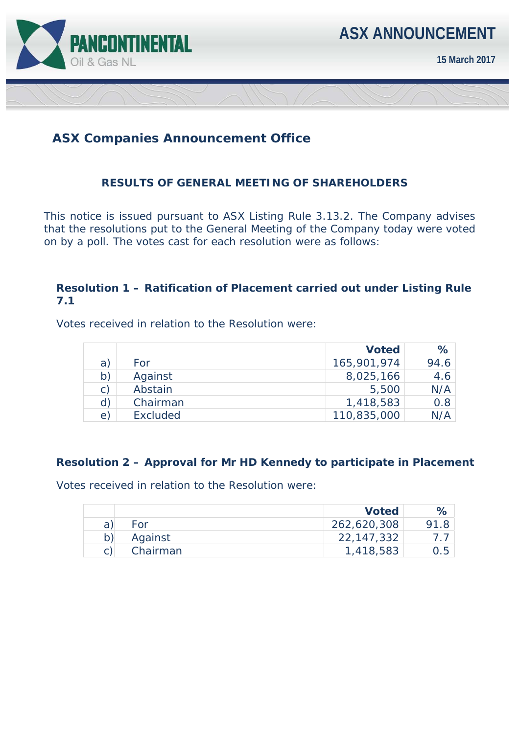

**15 March 2017** 

# **ASX Companies Announcement Office**

## **RESULTS OF GENERAL MEETING OF SHAREHOLDERS**

This notice is issued pursuant to ASX Listing Rule 3.13.2. The Company advises that the resolutions put to the General Meeting of the Company today were voted on by a poll. The votes cast for each resolution were as follows:

# **Resolution 1 – Ratification of Placement carried out under Listing Rule 7.1**

Votes received in relation to the Resolution were:

|              |                 | <b>Voted</b> | ℅    |
|--------------|-----------------|--------------|------|
| a)           | For             | 165,901,974  | 94.6 |
| b)           | Against         | 8,025,166    | 4.6  |
| $\mathsf{C}$ | Abstain         | 5,500        | N/A  |
| d)           | Chairman        | 1,418,583    | 0.8  |
| e)           | <b>Excluded</b> | 110,835,000  | N/A  |

## **Resolution 2 – Approval for Mr HD Kennedy to participate in Placement**

Votes received in relation to the Resolution were:

|   |          | <b>Voted</b> |       |
|---|----------|--------------|-------|
| а | For      | 262,620,308  |       |
|   | Against  | 22, 147, 332 |       |
|   | Chairman | 1,418,583    | J.5 I |